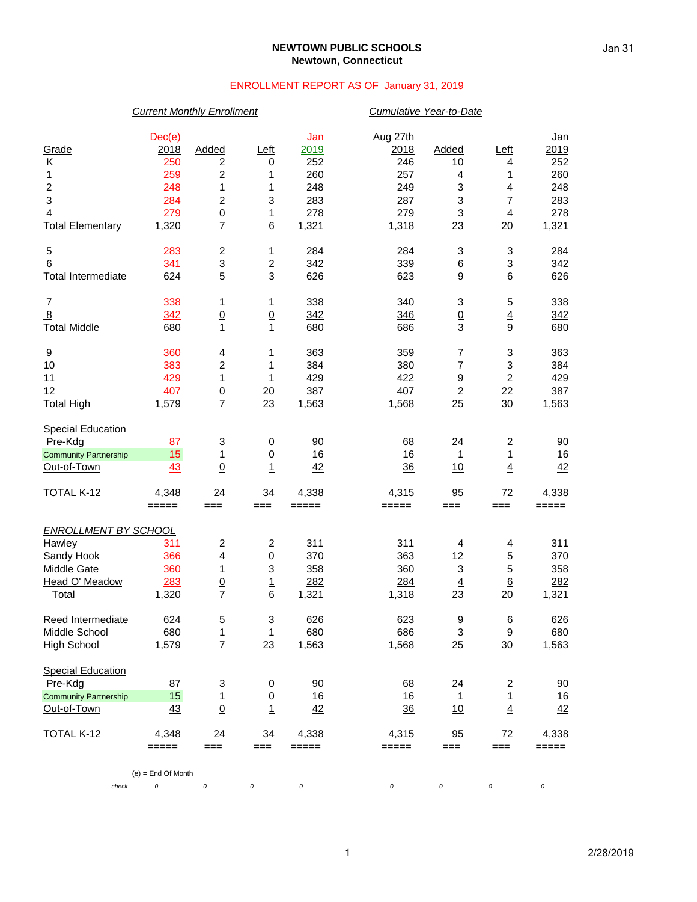#### **NEWTOWN PUBLIC SCHOOLS Newtown, Connecticut**

### ENROLLMENT REPORT AS OF January 31, 2019

# *Current Monthly Enrollment Cumulative Year-to-Date* Dec(e) Jan Aug 27th Jan Grade 2018 Added Left 2019 2018 Added Left 2019 K 250 2 0 252 246 10 4 252 1 259 2 1 260 257 4 1 260 2 248 1 1 248 249 3 4 248 3 284 2 3 283 287 3 7 283 <u>4</u> 2<u>79 0</u> 1 278 279 3 4 278 Total Elementary 1,320 7 6 1,321 1,318 23 20 1,321 5 283 2 1 284 284 3 3 284 6 341 3 2 342 339 6 3 342 Total Intermediate 624 5 3 626 623 9 6 626 7 338 1 1 338 340 3 5 338 <u>8 342 0 0 342 346 0 4 342</u> Total Middle 680 1 1 680 686 3 9 680 9 360 4 1 363 359 7 3 363 10 383 2 1 384 380 7 3 384 11 429 1 1 429 422 9 2 429 <u>12 407 0 20 387 407 2 22 387</u> Total High 1,579 7 23 1,563 1,568 25 30 1,563 **Special Education**  Pre-Kdg 87 3 0 90 68 24 2 90 <u>Community Partnership 15</u> 1 0 16 16 1 1 16<br>
<u>Cut-of-Town 43 0 1 42 36 10 4 42</u> <u>Out-of-Town 43 0 1 42</u> <u>36 10 4 42</u> TOTAL K-12 4,348 24 34 4,338 4,315 95 72 4,338 ===== === === ===== ===== === === ===== *ENROLLMENT BY SCHOOL* Hawley 311 2 2 311 311 4 4 311 Sandy Hook 366 4 0 370 363 12 5 370 Middle Gate 360 1 3 358 360 3 5 358 Head O' Meadow 283 0 1 282 284 4 6 282 Total 1,320 7 6 1,321 1,318 23 20 1,321 Reed Intermediate  $\begin{array}{cccccccc} 624 & 5 & 3 & 626 & 623 & 9 & 6 & 626 \\ 1 & 680 & 1 & 1 & 680 & 686 & 3 & 9 & 680 \end{array}$ Middle School 680 1 1 680 686 3 9 680 High School 1,579 7 23 1,563 1,568 25 30 1,563 Special Education Pre-Kdg 87 3 0 90 68 24 2 90 Community Partnership 15 1 0 16 16 16 1 16 Out-of-Town 43 0 1 42 36 10 4 42 TOTAL K-12 4,348 24 34 4,338 4,315 95 72 4,338 ===== === === ===== ===== === === ===== (e) = End Of Month *check 0 0 0 0 0 0 0 0*